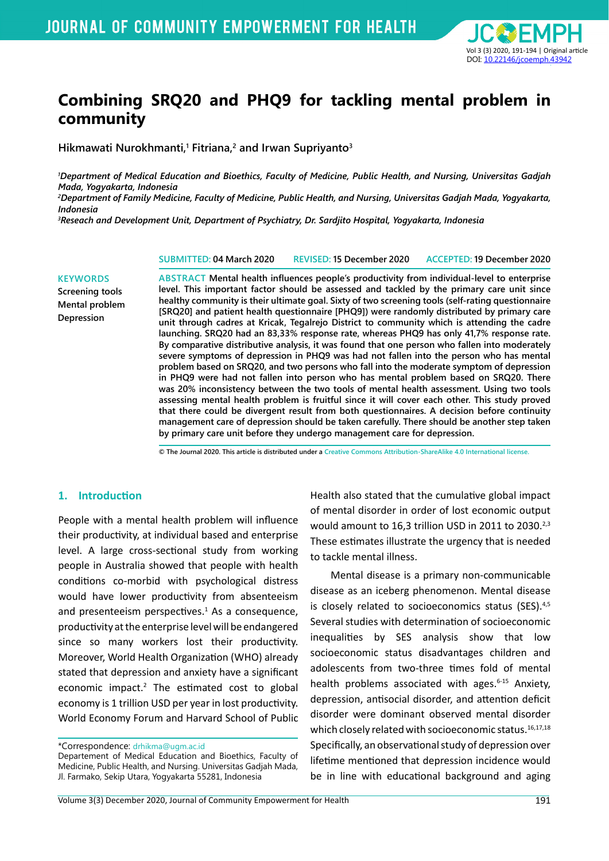

# **Combining SRQ20 and PHQ9 for tackling mental problem in community**

**Hikmawati Nurokhmanti,1 Fitriana,2 and Irwan Supriyanto3**

*1 Department of Medical Education and Bioethics, Faculty of Medicine, Public Health, and Nursing, Universitas Gadjah Mada, Yogyakarta, Indonesia*

*2 Department of Family Medicine, Faculty of Medicine, Public Health, and Nursing, Universitas Gadjah Mada, Yogyakarta, Indonesia*

*3 Reseach and Development Unit, Department of Psychiatry, Dr. Sardjito Hospital, Yogyakarta, Indonesia*

**SUBMITTED: 04 March 2020 REVISED: 15 December 2020 ACCEPTED: 19 December 2020**

**KEYWORDS Screening tools Mental problem Depression**

**ABSTRACT Mental health influences people's productivity from individual-level to enterprise level. This important factor should be assessed and tackled by the primary care unit since healthy community is their ultimate goal. Sixty of two screening tools (self-rating questionnaire [SRQ20] and patient health questionnaire [PHQ9]) were randomly distributed by primary care unit through cadres at Kricak, Tegalrejo District to community which is attending the cadre launching. SRQ20 had an 83,33% response rate, whereas PHQ9 has only 41,7% response rate. By comparative distributive analysis, it was found that one person who fallen into moderately severe symptoms of depression in PHQ9 was had not fallen into the person who has mental problem based on SRQ20, and two persons who fall into the moderate symptom of depression in PHQ9 were had not fallen into person who has mental problem based on SRQ20. There was 20% inconsistency between the two tools of mental health assessment. Using two tools assessing mental health problem is fruitful since it will cover each other. This study proved that there could be divergent result from both questionnaires. A decision before continuity management care of depression should be taken carefully. There should be another step taken by primary care unit before they undergo management care for depression.**

**© The Journal 2020. This article is distributed under a Creative Commons Attribution-ShareAlike 4.0 International license.**

#### **1. Introduction**

People with a mental health problem will influence their productivity, at individual based and enterprise level. A large cross-sectional study from working people in Australia showed that people with health conditions co-morbid with psychological distress would have lower productivity from absenteeism and presenteeism perspectives.<sup>1</sup> As a consequence, productivity at the enterprise level will be endangered since so many workers lost their productivity. Moreover, World Health Organization (WHO) already stated that depression and anxiety have a significant economic impact.<sup>2</sup> The estimated cost to global economy is 1 trillion USD per year in lost productivity. World Economy Forum and Harvard School of Public

\*Correspondence: drhikma@ugm.ac.id

Departement of Medical Education and Bioethics, Faculty of Medicine, Public Health, and Nursing. Universitas Gadjah Mada, Jl. Farmako, Sekip Utara, Yogyakarta 55281, Indonesia

Health also stated that the cumulative global impact of mental disorder in order of lost economic output would amount to 16,3 trillion USD in 2011 to 2030.<sup>2,3</sup> These estimates illustrate the urgency that is needed to tackle mental illness.

Mental disease is a primary non-communicable disease as an iceberg phenomenon. Mental disease is closely related to socioeconomics status (SES).4,5 Several studies with determination of socioeconomic inequalities by SES analysis show that low socioeconomic status disadvantages children and adolescents from two-three times fold of mental health problems associated with ages.<sup>6-15</sup> Anxiety, depression, antisocial disorder, and attention deficit disorder were dominant observed mental disorder which closely related with socioeconomic status.<sup>16,17,18</sup> Specifically, an observational study of depression over lifetime mentioned that depression incidence would be in line with educational background and aging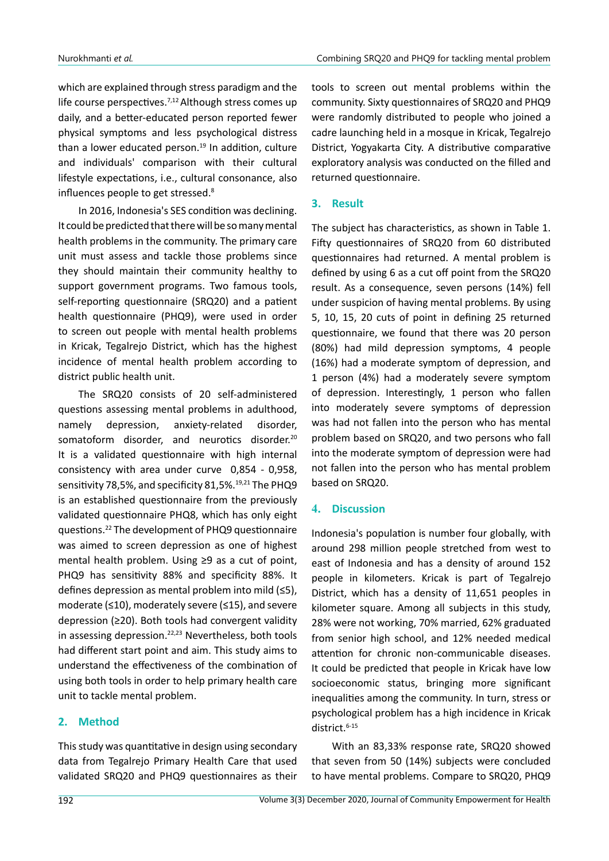which are explained through stress paradigm and the life course perspectives.<sup>7,12</sup> Although stress comes up daily, and a better-educated person reported fewer physical symptoms and less psychological distress than a lower educated person. $19$  In addition, culture and individuals' comparison with their cultural lifestyle expectations, i.e., cultural consonance, also influences people to get stressed.<sup>8</sup>

In 2016, Indonesia's SES condition was declining. It could be predicted that there will be so many mental health problems in the community. The primary care unit must assess and tackle those problems since they should maintain their community healthy to support government programs. Two famous tools, self-reporting questionnaire (SRQ20) and a patient health questionnaire (PHQ9), were used in order to screen out people with mental health problems in Kricak, Tegalrejo District, which has the highest incidence of mental health problem according to district public health unit.

The SRQ20 consists of 20 self-administered questions assessing mental problems in adulthood, namely depression, anxiety-related disorder, somatoform disorder, and neurotics disorder.<sup>20</sup> It is a validated questionnaire with high internal consistency with area under curve 0,854 - 0,958, sensitivity 78,5%, and specificity 81,5%.<sup>19,21</sup> The PHQ9 is an established questionnaire from the previously validated questionnaire PHQ8, which has only eight questions.22 The development of PHQ9 questionnaire was aimed to screen depression as one of highest mental health problem. Using ≥9 as a cut of point, PHQ9 has sensitivity 88% and specificity 88%. It defines depression as mental problem into mild (≤5), moderate (≤10), moderately severe (≤15), and severe depression (≥20). Both tools had convergent validity in assessing depression.<sup>22,23</sup> Nevertheless, both tools had different start point and aim. This study aims to understand the effectiveness of the combination of using both tools in order to help primary health care unit to tackle mental problem.

## **2. Method**

This study was quantitative in design using secondary data from Tegalrejo Primary Health Care that used validated SRQ20 and PHQ9 questionnaires as their tools to screen out mental problems within the community. Sixty questionnaires of SRQ20 and PHQ9 were randomly distributed to people who joined a cadre launching held in a mosque in Kricak, Tegalrejo District, Yogyakarta City. A distributive comparative exploratory analysis was conducted on the filled and returned questionnaire.

# **3. Result**

The subject has characteristics, as shown in Table 1. Fifty questionnaires of SRQ20 from 60 distributed questionnaires had returned. A mental problem is defined by using 6 as a cut off point from the SRQ20 result. As a consequence, seven persons (14%) fell under suspicion of having mental problems. By using 5, 10, 15, 20 cuts of point in defining 25 returned questionnaire, we found that there was 20 person (80%) had mild depression symptoms, 4 people (16%) had a moderate symptom of depression, and 1 person (4%) had a moderately severe symptom of depression. Interestingly, 1 person who fallen into moderately severe symptoms of depression was had not fallen into the person who has mental problem based on SRQ20, and two persons who fall into the moderate symptom of depression were had not fallen into the person who has mental problem based on SRQ20.

## **4. Discussion**

Indonesia's population is number four globally, with around 298 million people stretched from west to east of Indonesia and has a density of around 152 people in kilometers. Kricak is part of Tegalrejo District, which has a density of 11,651 peoples in kilometer square. Among all subjects in this study, 28% were not working, 70% married, 62% graduated from senior high school, and 12% needed medical attention for chronic non-communicable diseases. It could be predicted that people in Kricak have low socioeconomic status, bringing more significant inequalities among the community. In turn, stress or psychological problem has a high incidence in Kricak district.<sup>6-15</sup>

With an 83,33% response rate, SRQ20 showed that seven from 50 (14%) subjects were concluded to have mental problems. Compare to SRQ20, PHQ9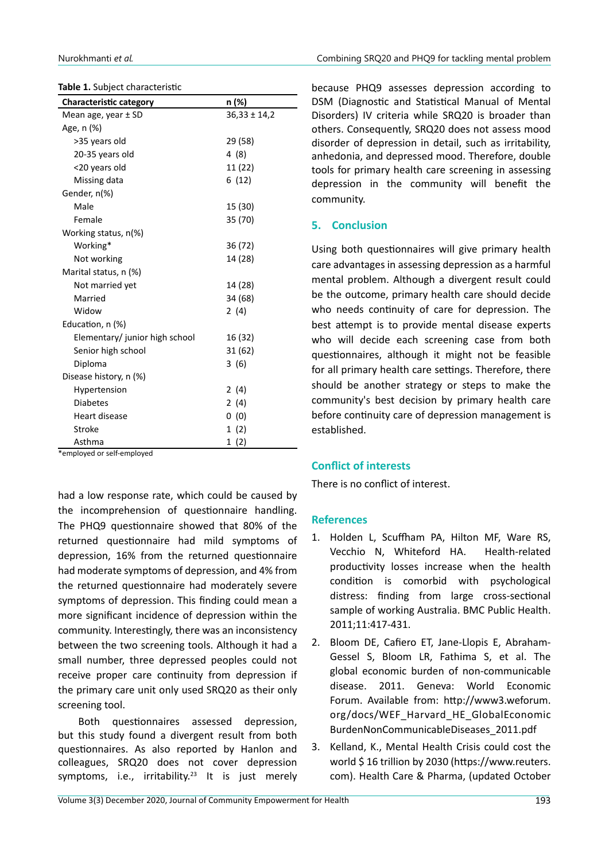#### **Table 1.** Subject characteristic

| <b>Characteristic category</b>         | n (%)            |
|----------------------------------------|------------------|
| Mean age, year $\pm$ SD                | $36,33 \pm 14,2$ |
| Age, n (%)                             |                  |
| >35 years old                          | 29 (58)          |
| 20-35 years old                        | 4 (8)            |
| <20 years old                          | 11 (22)          |
| Missing data                           | 6(12)            |
| Gender, n(%)                           |                  |
| Male                                   | 15 (30)          |
| Female                                 | 35 (70)          |
| Working status, n(%)                   |                  |
| Working*                               | 36 (72)          |
| Not working                            | 14 (28)          |
| Marital status, n (%)                  |                  |
| Not married yet                        | 14 (28)          |
| Married                                | 34 (68)          |
| Widow                                  | 2(4)             |
| Education, n (%)                       |                  |
| Elementary/ junior high school         | 16 (32)          |
| Senior high school                     | 31 (62)          |
| Diploma                                | 3(6)             |
| Disease history, n (%)                 |                  |
| Hypertension                           | 2(4)             |
| <b>Diabetes</b>                        | 2(4)             |
| <b>Heart disease</b>                   | 0(0)             |
| Stroke                                 | 1(2)             |
| Asthma<br>$\mathbf{r}$<br>$\mathbf{r}$ | 1 (2)            |

\*employed or self-employed

had a low response rate, which could be caused by the incomprehension of questionnaire handling. The PHQ9 questionnaire showed that 80% of the returned questionnaire had mild symptoms of depression, 16% from the returned questionnaire had moderate symptoms of depression, and 4% from the returned questionnaire had moderately severe symptoms of depression. This finding could mean a more significant incidence of depression within the community. Interestingly, there was an inconsistency between the two screening tools. Although it had a small number, three depressed peoples could not receive proper care continuity from depression if the primary care unit only used SRQ20 as their only screening tool.

Both questionnaires assessed depression, but this study found a divergent result from both questionnaires. As also reported by Hanlon and colleagues, SRQ20 does not cover depression symptoms, i.e., irritability.<sup>23</sup> It is just merely

because PHQ9 assesses depression according to DSM (Diagnostic and Statistical Manual of Mental Disorders) IV criteria while SRQ20 is broader than others. Consequently, SRQ20 does not assess mood disorder of depression in detail, such as irritability, anhedonia, and depressed mood. Therefore, double tools for primary health care screening in assessing depression in the community will benefit the community.

### **5. Conclusion**

Using both questionnaires will give primary health care advantages in assessing depression as a harmful mental problem. Although a divergent result could be the outcome, primary health care should decide who needs continuity of care for depression. The best attempt is to provide mental disease experts who will decide each screening case from both questionnaires, although it might not be feasible for all primary health care settings. Therefore, there should be another strategy or steps to make the community's best decision by primary health care before continuity care of depression management is established.

#### **Conflict of interests**

There is no conflict of interest.

#### **References**

- 1. Holden L, Scuffham PA, Hilton MF, Ware RS, Vecchio N, Whiteford HA. Health-related productivity losses increase when the health condition is comorbid with psychological distress: finding from large cross-sectional sample of working Australia. BMC Public Health. 2011;11:417-431.
- 2. Bloom DE, Cafiero ET, Jane-Llopis E, Abraham-Gessel S, Bloom LR, Fathima S, et al. The global economic burden of non-communicable disease. 2011. Geneva: World Economic Forum. Available from: http://www3.weforum. org/docs/WEF\_Harvard\_HE\_GlobalEconomic BurdenNonCommunicableDiseases\_2011.pdf
- 3. Kelland, K., Mental Health Crisis could cost the world \$ 16 trillion by 2030 (https://www.reuters. com). Health Care & Pharma, (updated October